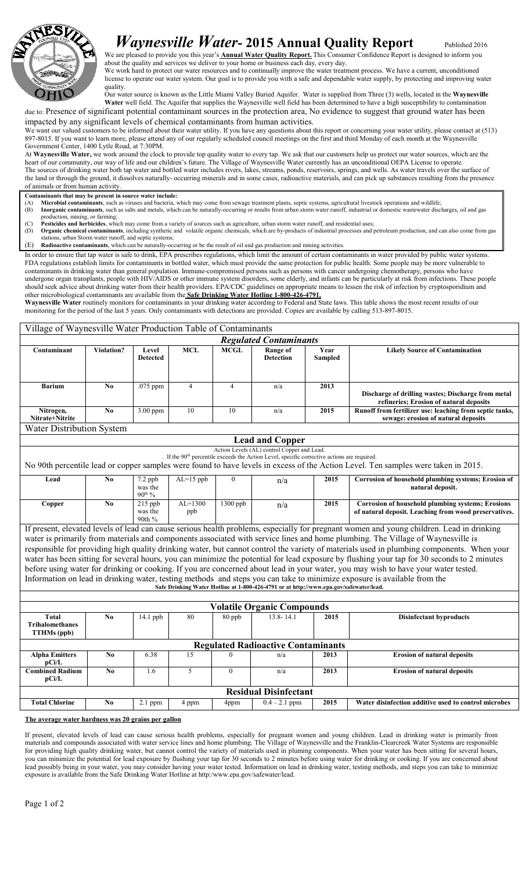

## Waynesville Water- 2015 Annual Quality Report Published 2016

We are pleased to provide you this year's **Annual Water Quality Report.** This Consumer Confidence Report is designed to inform you about the quality and services we deliver to your home or business each day, every day.

We work hard to protect our water resources and to continually improve the water treatment process. We have a current, unconditioned license to operate our water system. Our goal is to provide you with a safe and dependable water supply, by protecting and improving water quality.

Our water source is known as the Little Miami Valley Buried Aquifer. Water is supplied from Three (3) wells, located in the Waynesville Water well field. The Aquifer that supplies the Waynesville well field has been determined to have a high susceptibility to contamination due to: Presence of significant potential contaminant sources in the protection area, No evidence to suggest that ground water has been impacted by any significant levels of chemical contaminants from human activities.

We want our valued customers to be informed about their water utility. If you have any questions about this report or concerning your water utility, please contact at (513) 897-8015. If you want to learn more, please attend any of our regularly scheduled council meetings on the first and third Monday of each month at the Waynesville Government Center, 1400 Lytle Road, at 7:30PM.

At Waynesville Water, we work around the clock to provide top quality water to every tap. We ask that our customers help us protect our water sources, which are the heart of our community, our way of life and our children's future. The Village of Waynesville Water currently has an unconditional OEPA License to operate. The sources of drinking water both tap water and bottled water includes rivers, lakes, streams, ponds, reservoirs, springs, and wells. As water travels over the surface of the land or through the ground, it dissolves naturally- occurring minerals and in some cases, radioactive materials, and can pick up substances resulting from the presence of animals or from human activity.

- Contaminants that may be present in source water include:
- Microbial contaminants, such as viruses and bacteria, which may come from sewage treatment plants, septic systems, agricultural livestock operations and wildlife; (B) Inorganic contaminants, such as salts and metals, which can be naturally-occurring or results from urban storm water runoff, industrial or domestic wastewater discharges, oil and gas
- production, mining, or farming;
- (C) Pesticides and herbicides, which may come from a variety of sources such as agriculture, urban storm water runoff, and residential uses; (D) Organic chemical contaminants, including synthetic and volatile organic chemicals, which are by-products of industrial processes and petroleum production, and can also come from gas

ons, urban Storm water runoff, and septic systems;

(E) Radioactive contaminants, which can be naturally-occurring or be the result of oil and gas production and mining activities.

Village of Waynesville Water Production Table of Contaminants

In order to ensure that tap water is safe to drink, EPA prescribes regulations, which limit the amount of certain contaminants in water provided by public water systems. FDA regulations establish limits for contaminants in bottled water, which must provide the same protection for public health. Some people may be more vulnerable to contaminants in drinking water than general population. Immune-compromised persons such as persons with cancer undergoing chemotherapy, persons who have undergone organ transplants, people with HIV/AIDS or other immune system disorders, some elderly, and infants can be particularly at risk from infections. These people should seek advice about drinking water from their health providers. EPA/CDC guidelines on appropriate means to lessen the risk of infection by cryptosporidium and other microbiological contaminants are available from the **Safe Drinking Water Hotline 1-800-426-4791.** 

Waynesville Water routinely monitors for contaminants in your drinking water according to Federal and State laws. This table shows the most recent results of our monitoring for the period of the last 5 years. Only contaminants with detections are provided. Copies are available by calling 513-897-8015.

| VIIIage of Waynesvine Water Froudetion Favie of Contaminants                                                                                                                                                                                                                                                                                                                                                                                                                                                                                                                                                                                                                                                                                                                                                                                                                                                                         |                |                                            |                  |                |                              |                 |                                                                                                                   |  |  |
|--------------------------------------------------------------------------------------------------------------------------------------------------------------------------------------------------------------------------------------------------------------------------------------------------------------------------------------------------------------------------------------------------------------------------------------------------------------------------------------------------------------------------------------------------------------------------------------------------------------------------------------------------------------------------------------------------------------------------------------------------------------------------------------------------------------------------------------------------------------------------------------------------------------------------------------|----------------|--------------------------------------------|------------------|----------------|------------------------------|-----------------|-------------------------------------------------------------------------------------------------------------------|--|--|
| <b>Regulated Contaminants</b>                                                                                                                                                                                                                                                                                                                                                                                                                                                                                                                                                                                                                                                                                                                                                                                                                                                                                                        |                |                                            |                  |                |                              |                 |                                                                                                                   |  |  |
| Contaminant                                                                                                                                                                                                                                                                                                                                                                                                                                                                                                                                                                                                                                                                                                                                                                                                                                                                                                                          | Violation?     | Level<br><b>Detected</b>                   | <b>MCL</b>       | <b>MCGL</b>    | Range of<br><b>Detection</b> | Year<br>Sampled | <b>Likely Source of Contamination</b>                                                                             |  |  |
| <b>Barium</b>                                                                                                                                                                                                                                                                                                                                                                                                                                                                                                                                                                                                                                                                                                                                                                                                                                                                                                                        | N <sub>0</sub> | .075 ppm                                   | $\overline{4}$   | $\overline{4}$ | n/a                          | 2013            | Discharge of drilling wastes; Discharge from metal<br>refineries; Erosion of natural deposits                     |  |  |
| Nitrogen,<br>Nitrate+Nitrite                                                                                                                                                                                                                                                                                                                                                                                                                                                                                                                                                                                                                                                                                                                                                                                                                                                                                                         | No             | $3.00$ ppm                                 | 10               | 10             | n/a                          | 2015            | Runoff from fertilizer use: leaching from septic tanks,<br>sewage: erosion of natural deposits                    |  |  |
| Water Distribution System                                                                                                                                                                                                                                                                                                                                                                                                                                                                                                                                                                                                                                                                                                                                                                                                                                                                                                            |                |                                            |                  |                |                              |                 |                                                                                                                   |  |  |
| <b>Lead and Copper</b>                                                                                                                                                                                                                                                                                                                                                                                                                                                                                                                                                                                                                                                                                                                                                                                                                                                                                                               |                |                                            |                  |                |                              |                 |                                                                                                                   |  |  |
| Action Levels (AL) control Copper and Lead.<br>. If the 90 <sup>th</sup> percentile exceeds the Action Level, specific corrective actions are required.                                                                                                                                                                                                                                                                                                                                                                                                                                                                                                                                                                                                                                                                                                                                                                              |                |                                            |                  |                |                              |                 |                                                                                                                   |  |  |
| No 90th percentile lead or copper samples were found to have levels in excess of the Action Level. Ten samples were taken in 2015.                                                                                                                                                                                                                                                                                                                                                                                                                                                                                                                                                                                                                                                                                                                                                                                                   |                |                                            |                  |                |                              |                 |                                                                                                                   |  |  |
| Lead                                                                                                                                                                                                                                                                                                                                                                                                                                                                                                                                                                                                                                                                                                                                                                                                                                                                                                                                 | N <sub>0</sub> | $7.2$ ppb<br>was the<br>90 <sup>th</sup> % | $AL=15$ ppb      | $\theta$       | n/a                          | 2015            | Corrosion of household plumbing systems; Erosion of<br>natural deposit.                                           |  |  |
| Copper                                                                                                                                                                                                                                                                                                                                                                                                                                                                                                                                                                                                                                                                                                                                                                                                                                                                                                                               | No             | $215$ ppb<br>was the<br>90th %             | $AL=1300$<br>ppb | 1300 ppb       | n/a                          | 2015            | <b>Corrosion of household plumbing systems; Erosions</b><br>of natural deposit. Leaching from wood preservatives. |  |  |
| If present, elevated levels of lead can cause serious health problems, especially for pregnant women and young children. Lead in drinking<br>water is primarily from materials and components associated with service lines and home plumbing. The Village of Waynesville is<br>responsible for providing high quality drinking water, but cannot control the variety of materials used in plumbing components. When your<br>water has been sitting for several hours, you can minimize the potential for lead exposure by flushing your tap for 30 seconds to 2 minutes<br>before using water for drinking or cooking. If you are concerned about lead in your water, you may wish to have your water tested.<br>Information on lead in drinking water, testing methods and steps you can take to minimize exposure is available from the<br>Safe Drinking Water Hotline at 1-800-426-4791 or at http://www.epa.gov/safewater/lead. |                |                                            |                  |                |                              |                 |                                                                                                                   |  |  |
|                                                                                                                                                                                                                                                                                                                                                                                                                                                                                                                                                                                                                                                                                                                                                                                                                                                                                                                                      |                |                                            |                  |                |                              |                 |                                                                                                                   |  |  |
| <b>Volatile Organic Compounds</b>                                                                                                                                                                                                                                                                                                                                                                                                                                                                                                                                                                                                                                                                                                                                                                                                                                                                                                    |                |                                            |                  |                |                              |                 |                                                                                                                   |  |  |
| <b>Total</b><br><b>Trihalomethanes</b><br><b>TTHMs</b> (ppb)                                                                                                                                                                                                                                                                                                                                                                                                                                                                                                                                                                                                                                                                                                                                                                                                                                                                         | No             | $\overline{14.1}$ ppb                      | 80               | 80 ppb         | $13.8 - 14.1$                | 2015            | <b>Disinfectant byproducts</b>                                                                                    |  |  |
| <b>Regulated Radioactive Contaminants</b>                                                                                                                                                                                                                                                                                                                                                                                                                                                                                                                                                                                                                                                                                                                                                                                                                                                                                            |                |                                            |                  |                |                              |                 |                                                                                                                   |  |  |
| <b>Alpha Emitters</b><br>pCi/L                                                                                                                                                                                                                                                                                                                                                                                                                                                                                                                                                                                                                                                                                                                                                                                                                                                                                                       | No             | 6.38                                       | 15               | $\Omega$       | n/a                          | 2013            | <b>Erosion of natural deposits</b>                                                                                |  |  |
| <b>Combined Radium</b><br>pCi/L                                                                                                                                                                                                                                                                                                                                                                                                                                                                                                                                                                                                                                                                                                                                                                                                                                                                                                      | N <sub>0</sub> | 1.6                                        | 5                | $\overline{0}$ | n/a                          | 2013            | <b>Erosion of natural deposits</b>                                                                                |  |  |
| <b>Residual Disinfectant</b>                                                                                                                                                                                                                                                                                                                                                                                                                                                                                                                                                                                                                                                                                                                                                                                                                                                                                                         |                |                                            |                  |                |                              |                 |                                                                                                                   |  |  |
| <b>Total Chlorine</b>                                                                                                                                                                                                                                                                                                                                                                                                                                                                                                                                                                                                                                                                                                                                                                                                                                                                                                                | No             | 2.1 ppm                                    | 4 ppm            | 4ppm           | $0.4 - 2.1$ ppm              | 2015            | Water disinfection additive used to control microbes                                                              |  |  |

The average water hardness was 20 grains per gallon

If present, elevated levels of lead can cause serious health problems, especially for pregnant women and young children. Lead in drinking water is primarily from materials and compounds associated with water service lines and home plumbing. The Village of Waynesville and the Franklin-Clearcreek Water Systems are responsible for providing high quality drinking water, but cannot control the variety of materials used in pluming components. When your water has been sitting for several hours, you can minimize the potential for lead exposure by flushing your tap for 30 seconds to 2 minutes before using water for drinking or cooking. If you are concerned about lead possibly being in your water, you may consider having your water tested. Information on lead in drinking water, testing methods, and steps you can take to minimize exposure is available from the Safe Drinking Water Hotline at http:/www.epa.gov/safewater/lead.